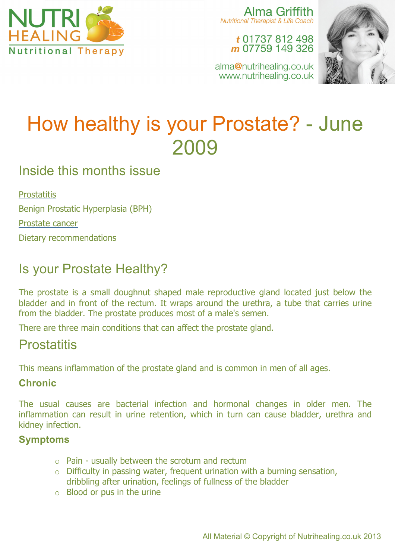

Alma Griffith Nutritional Therapist & Life Coach

#### t 01737 812 498 m 07759 149 326





# How healthy is your Prostate? - June 2009

# Inside this months issue

**Prostatitis** Benign Prostatic Hyperplasia (BPH)

Prostate cancer

Dietary recommendations

# Is your Prostate Healthy?

The prostate is a small doughnut shaped male reproductive gland located just below the bladder and in front of the rectum. It wraps around the urethra, a tube that carries urine from the bladder. The prostate produces most of a male's semen.

There are three main conditions that can affect the prostate gland.

# **Prostatitis**

This means inflammation of the prostate gland and is common in men of all ages.

#### **Chronic**

The usual causes are bacterial infection and hormonal changes in older men. The inflammation can result in urine retention, which in turn can cause bladder, urethra and kidney infection.

#### **Symptoms**

- o Pain usually between the scrotum and rectum
- $\circ$  Difficulty in passing water, frequent urination with a burning sensation, dribbling after urination, feelings of fullness of the bladder
- $\circ$  Blood or pus in the urine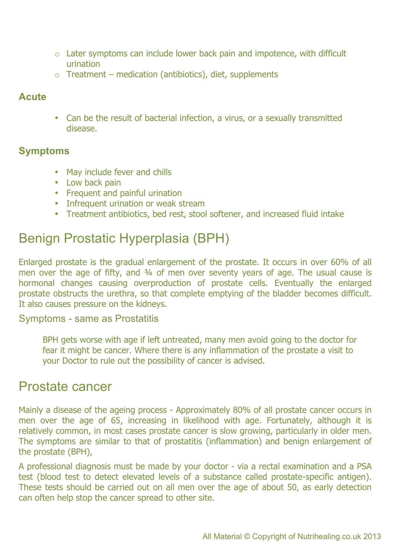- o Later symptoms can include lower back pain and impotence, with difficult urination
- $\circ$  Treatment medication (antibiotics), diet, supplements

#### **Acute**

• Can be the result of bacterial infection, a virus, or a sexually transmitted disease.

#### **Symptoms**

- May include fever and chills
- Low back pain
- Frequent and painful urination
- Infrequent urination or weak stream
- Treatment antibiotics, bed rest, stool softener, and increased fluid intake

# Benign Prostatic Hyperplasia (BPH)

Enlarged prostate is the gradual enlargement of the prostate. It occurs in over 60% of all men over the age of fifty, and 3/4 of men over seventy years of age. The usual cause is hormonal changes causing overproduction of prostate cells. Eventually the enlarged prostate obstructs the urethra, so that complete emptying of the bladder becomes difficult. It also causes pressure on the kidneys.

#### Symptoms - same as Prostatitis

BPH gets worse with age if left untreated, many men avoid going to the doctor for fear it might be cancer. Where there is any inflammation of the prostate a visit to your Doctor to rule out the possibility of cancer is advised.

### Prostate cancer

Mainly a disease of the ageing process - Approximately 80% of all prostate cancer occurs in men over the age of 65, increasing in likelihood with age. Fortunately, although it is relatively common, in most cases prostate cancer is slow growing, particularly in older men. The symptoms are similar to that of prostatitis (inflammation) and benign enlargement of the prostate (BPH),

A professional diagnosis must be made by your doctor - via a rectal examination and a PSA test (blood test to detect elevated levels of a substance called prostate-specific antigen). These tests should be carried out on all men over the age of about 50, as early detection can often help stop the cancer spread to other site.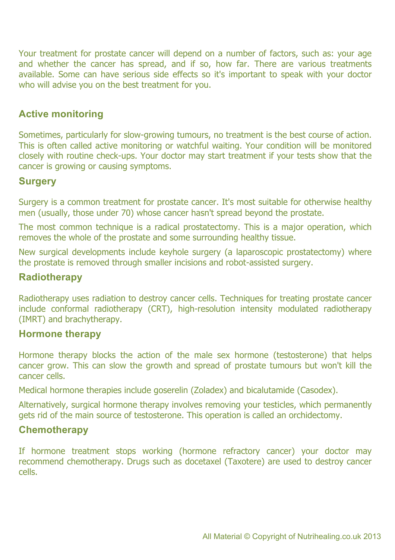Your treatment for prostate cancer will depend on a number of factors, such as: your age and whether the cancer has spread, and if so, how far. There are various treatments available. Some can have serious side effects so it's important to speak with your doctor who will advise you on the best treatment for you.

#### **Active monitoring**

Sometimes, particularly for slow-growing tumours, no treatment is the best course of action. This is often called active monitoring or watchful waiting. Your condition will be monitored closely with routine check-ups. Your doctor may start treatment if your tests show that the cancer is growing or causing symptoms.

#### **Surgery**

Surgery is a common treatment for prostate cancer. It's most suitable for otherwise healthy men (usually, those under 70) whose cancer hasn't spread beyond the prostate.

The most common technique is a radical prostatectomy. This is a major operation, which removes the whole of the prostate and some surrounding healthy tissue.

New surgical developments include keyhole surgery (a laparoscopic prostatectomy) where the prostate is removed through smaller incisions and robot-assisted surgery.

#### **Radiotherapy**

Radiotherapy uses radiation to destroy cancer cells. Techniques for treating prostate cancer include conformal radiotherapy (CRT), high-resolution intensity modulated radiotherapy (IMRT) and brachytherapy.

#### **Hormone therapy**

Hormone therapy blocks the action of the male sex hormone (testosterone) that helps cancer grow. This can slow the growth and spread of prostate tumours but won't kill the cancer cells.

Medical hormone therapies include goserelin (Zoladex) and bicalutamide (Casodex).

Alternatively, surgical hormone therapy involves removing your testicles, which permanently gets rid of the main source of testosterone. This operation is called an orchidectomy.

#### **Chemotherapy**

If hormone treatment stops working (hormone refractory cancer) your doctor may recommend chemotherapy. Drugs such as docetaxel (Taxotere) are used to destroy cancer cells.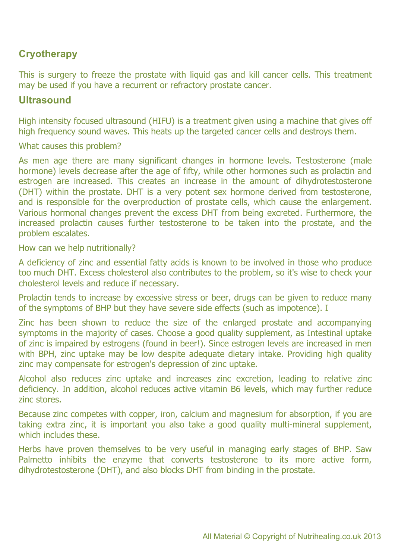#### **Cryotherapy**

This is surgery to freeze the prostate with liquid gas and kill cancer cells. This treatment may be used if you have a recurrent or refractory prostate cancer.

#### **Ultrasound**

High intensity focused ultrasound (HIFU) is a treatment given using a machine that gives off high frequency sound waves. This heats up the targeted cancer cells and destroys them.

What causes this problem?

As men age there are many significant changes in hormone levels. Testosterone (male hormone) levels decrease after the age of fifty, while other hormones such as prolactin and estrogen are increased. This creates an increase in the amount of dihydrotestosterone (DHT) within the prostate. DHT is a very potent sex hormone derived from testosterone, and is responsible for the overproduction of prostate cells, which cause the enlargement. Various hormonal changes prevent the excess DHT from being excreted. Furthermore, the increased prolactin causes further testosterone to be taken into the prostate, and the problem escalates.

How can we help nutritionally?

A deficiency of zinc and essential fatty acids is known to be involved in those who produce too much DHT. Excess cholesterol also contributes to the problem, so it's wise to check your cholesterol levels and reduce if necessary.

Prolactin tends to increase by excessive stress or beer, drugs can be given to reduce many of the symptoms of BHP but they have severe side effects (such as impotence). I

Zinc has been shown to reduce the size of the enlarged prostate and accompanying symptoms in the majority of cases. Choose a good quality supplement, as Intestinal uptake of zinc is impaired by estrogens (found in beer!). Since estrogen levels are increased in men with BPH, zinc uptake may be low despite adequate dietary intake. Providing high quality zinc may compensate for estrogen's depression of zinc uptake.

Alcohol also reduces zinc uptake and increases zinc excretion, leading to relative zinc deficiency. In addition, alcohol reduces active vitamin B6 levels, which may further reduce zinc stores.

Because zinc competes with copper, iron, calcium and magnesium for absorption, if you are taking extra zinc, it is important you also take a good quality multi-mineral supplement, which includes these.

Herbs have proven themselves to be very useful in managing early stages of BHP. Saw Palmetto inhibits the enzyme that converts testosterone to its more active form, dihydrotestosterone (DHT), and also blocks DHT from binding in the prostate.